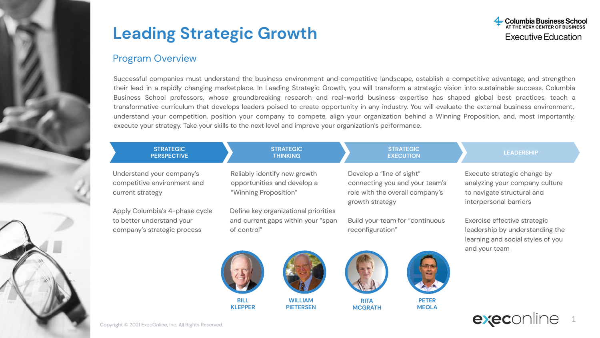

#### Program Overview

Successful companies must understand the business environment and competitive landscape, establish a competitive advantage, and strengthen their lead in a rapidly changing marketplace. In Leading Strategic Growth, you will transform a strategic vision into sustainable success. Columbia Business School professors, whose groundbreaking research and real-world business expertise has shaped global best practices, teach a transformative curriculum that develops leaders poised to create opportunity in any industry. You will evaluate the external business environment, understand your competition, position your company to compete, align your organization behind a Winning Proposition, and, most importantly, execute your strategy. Take your skills to the next level and improve your organization's performance.

| <b>STRATEGIC</b><br><b>PERSPECTIVE</b>                                                     | <b>STRATEGIC</b><br><b>THINKING</b>                                                       | <b>STRATEGIC</b><br><b>EXECUTION</b>                                                                              | <b>LEADERSHIP</b>                                                                                                     |
|--------------------------------------------------------------------------------------------|-------------------------------------------------------------------------------------------|-------------------------------------------------------------------------------------------------------------------|-----------------------------------------------------------------------------------------------------------------------|
| Understand your company's<br>competitive environment and<br>current strategy               | Reliably identify new growth<br>opportunities and develop a<br>"Winning Proposition"      | Develop a "line of sight"<br>connecting you and your team's<br>role with the overall company's<br>growth strategy | Execute strategic change by<br>analyzing your company culture<br>to navigate structural and<br>interpersonal barriers |
| Apply Columbia's 4-phase cycle<br>to better understand your<br>company's strategic process | Define key organizational priorities<br>and current gaps within your "span<br>of control" | Build your team for "continuous<br>reconfiguration"                                                               | Exercise effective strategic<br>leadership by understanding the<br>learning and social styles of you<br>and your team |











**MEOLA**

**MCGRATH**



1

Copyright © 2021 ExecOnline, Inc. All Rights Reserved.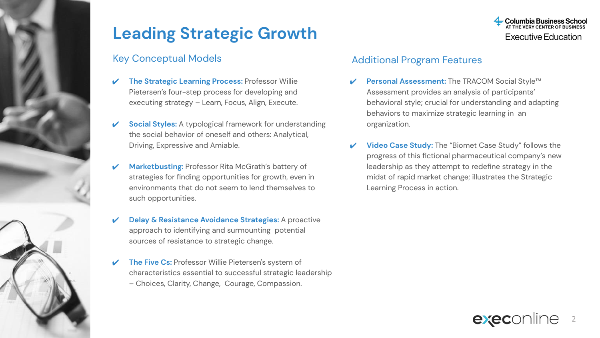### Key Conceptual Models

- **The Strategic Learning Process: Professor Willie** Pietersen's four-step process for developing and executing strategy – Learn, Focus, Align, Execute.
- **Social Styles:** A typological framework for understanding the social behavior of oneself and others: Analytical, Driving, Expressive and Amiable.
- **Marketbusting: Professor Rita McGrath's battery of** strategies for finding opportunities for growth, even in environments that do not seem to lend themselves to such opportunities.
- **Delay & Resistance Avoidance Strategies:** A proactive approach to identifying and surmounting potential sources of resistance to strategic change.
- **The Five Cs: Professor Willie Pietersen's system of** characteristics essential to successful strategic leadership – Choices, Clarity, Change, Courage, Compassion.



### Additional Program Features

- **Personal Assessment:** The TRACOM Social Style™ Assessment provides an analysis of participants' behavioral style; crucial for understanding and adapting behaviors to maximize strategic learning in an organization.
- **Video Case Study:** The "Biomet Case Study" follows the progress of this fictional pharmaceutical company's new leadership as they attempt to redefine strategy in the midst of rapid market change; illustrates the Strategic Learning Process in action.

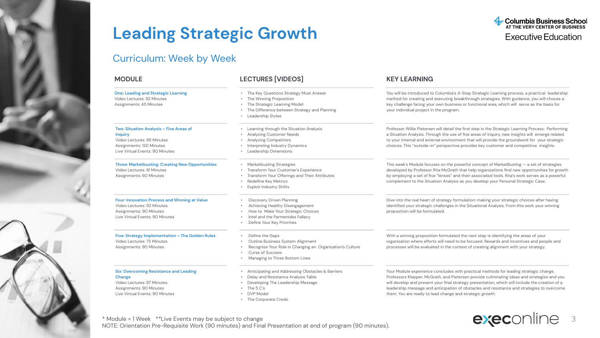### Curriculum: Week by Week

| <b>MODULE</b>                                                                                                                                          | <b>LECTURES [VIDEOS]</b>                                                                                                                                                        | <b>KEY LEARNING</b><br>You will be introduced to Columbia's 4-Step Strategic Learning process, a practical leadership<br>method for creating and executing breakthrough strategies. With guidance, you will choose a<br>key challenge facing your own business or functional area, which will serve as the basis for<br>your individual project in the program.                                                                                   |  |  |
|--------------------------------------------------------------------------------------------------------------------------------------------------------|---------------------------------------------------------------------------------------------------------------------------------------------------------------------------------|---------------------------------------------------------------------------------------------------------------------------------------------------------------------------------------------------------------------------------------------------------------------------------------------------------------------------------------------------------------------------------------------------------------------------------------------------|--|--|
| <b>One: Leading and Strategic Learning</b><br>Video Lectures: 92 Minutes<br>Assignments: 45 Minutes                                                    | The Key Questions Strategy Must Answer<br>The Winning Proposition<br>The Strategic Learning Model<br>The Difference between Strategy and Planning<br>Leadership Styles          |                                                                                                                                                                                                                                                                                                                                                                                                                                                   |  |  |
| Two: Situation Analysis - Five Areas of<br><b>Inquiry</b><br>Video Lectures: 88 Minutes<br>Assignments: 120 Minutes<br>Live Virtual Events: 90 Minutes | Learning through the Situation Analysis<br>Analyzing Customer Needs<br>Analyzing Competitors<br>Interpreting Industry Dynamics<br>Leadership Dimensions                         | Professor Willie Pietersen will detail the first step in the Strategic Learning Process: Performing<br>a Situation Analysis. Through the use of five areas of inquiry, new insights will emerge related<br>to your internal and external environment that will provide the groundwork for your strategic<br>choices. This "outside-in" perspective provides key customer and competitive insights.                                                |  |  |
| <b>Three: Marketbusting: Creating New Opportunities</b><br>Video Lectures: 81 Minutes<br>Assignments: 60 Minutes                                       | Marketbusting Strategies<br>Transform Your Customer's Experience<br>Transform Your Offerings and Their Attributes<br>Redefine Key Metrics<br><b>Exploit Industry Shifts</b>     | This week's Module focuses on the powerful concept of MarketBusting $-$ a set of strategies<br>developed by Professor Rita McGrath that help organizations find new opportunities for growth<br>by employing a set of five "lenses" and their associated tools. Rita's work serves as a powerful<br>complement to the Situation Analysis as you develop your Personal Strategic Case.                                                             |  |  |
| Four: Innovation Process and Winning at Value<br>Video Lectures: 92 Minutes<br>Assignments: 90 Minutes<br>Live Virtual Events: 90 Minutes              | Discovery Driven Planning<br>Achieving Healthy Disengagement<br>How to Make Your Strategic Choices<br>Intel and the Parmenides Fallacy<br>Define Your Key Priorities            | Dive into the real heart of strategy formulation: making your strategic choices after having<br>identified your strategic challenges in the Situational Analysis. From this work your winning<br>proposition will be formulated.                                                                                                                                                                                                                  |  |  |
| Five: Strategy Implementation - The Golden Rules<br>Video Lectures: 75 Minutes<br>Assignments: 90 Minutes                                              | Define the Gaps<br>Outline Business System Alignment<br>Recognize Your Role in Changing an Organization's Culture<br><b>Curse of Success</b><br>Managing to Three Bottom Lines  | With a winning proposition formulated the next step is identifying the areas of your<br>organization where efforts will need to be focused. Rewards and incentives and people and<br>processes will be evaluated in the context of creating alignment with your strategy.                                                                                                                                                                         |  |  |
| <b>Six: Overcoming Resistance and Leading</b><br>Change<br>Video Lectures: 87 Minutes<br>Assignments: 90 Minutes<br>Live Virtual Events: 90 Minutes    | Anticipating and Addressing Obstacles & Barriers<br>Delay and Resistance Analysis Table<br>Developing The Leadership Message<br>The 5 C's<br>DVP Model<br>• The Corporate Credo | Your Module experience concludes with practical methods for leading strategic change.<br>Professors Klepper, McGrath, and Pietersen provide culminating ideas and strategies and you<br>will develop and present your final strategy presentation, which will include the creation of a<br>leadership message and anticipation of obstacles and resistance and strategies to overcome<br>them. You are ready to lead change and strategic growth. |  |  |

3

execonline

**Columbia Business School**<br>AT THE VERY CENTER OF BUSINESS **Executive Education** 

\* Module = 1 Week \*\*Live Events may be subject to change NOTE: Orientation Pre-Requisite Work (90 minutes) and Final Presentation at end of program (90 minutes).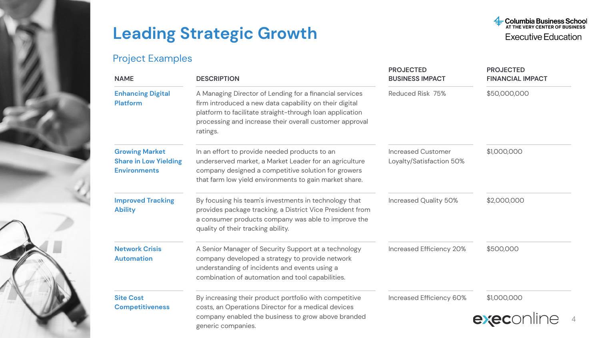### Project Examples



| <b>NAME</b>                                                                  | <b>DESCRIPTION</b>                                                                                                                                                                                                                                   | <b>PROJECTED</b><br><b>BUSINESS IMPACT</b>            | <b>PROJECTED</b><br><b>FINANCIAL IMPACT</b> |
|------------------------------------------------------------------------------|------------------------------------------------------------------------------------------------------------------------------------------------------------------------------------------------------------------------------------------------------|-------------------------------------------------------|---------------------------------------------|
| <b>Enhancing Digital</b><br><b>Platform</b>                                  | A Managing Director of Lending for a financial services<br>firm introduced a new data capability on their digital<br>platform to facilitate straight-through loan application<br>processing and increase their overall customer approval<br>ratings. | Reduced Risk 75%                                      | \$50,000,000                                |
| <b>Growing Market</b><br><b>Share in Low Yielding</b><br><b>Environments</b> | In an effort to provide needed products to an<br>underserved market, a Market Leader for an agriculture<br>company designed a competitive solution for growers<br>that farm low yield environments to gain market share.                             | <b>Increased Customer</b><br>Loyalty/Satisfaction 50% | \$1,000,000                                 |
| <b>Improved Tracking</b><br><b>Ability</b>                                   | By focusing his team's investments in technology that<br>provides package tracking, a District Vice President from<br>a consumer products company was able to improve the<br>quality of their tracking ability.                                      | Increased Quality 50%                                 | \$2,000,000                                 |
| <b>Network Crisis</b><br><b>Automation</b>                                   | A Senior Manager of Security Support at a technology<br>company developed a strategy to provide network<br>understanding of incidents and events using a<br>combination of automation and tool capabilities.                                         | Increased Efficiency 20%                              | \$500,000                                   |
| <b>Site Cost</b><br><b>Competitiveness</b>                                   | By increasing their product portfolio with competitive<br>costs, an Operations Director for a medical devices<br>company enabled the business to grow above branded<br>generic companies.                                                            | Increased Efficiency 60%                              | \$1,000,000<br>exec                         |